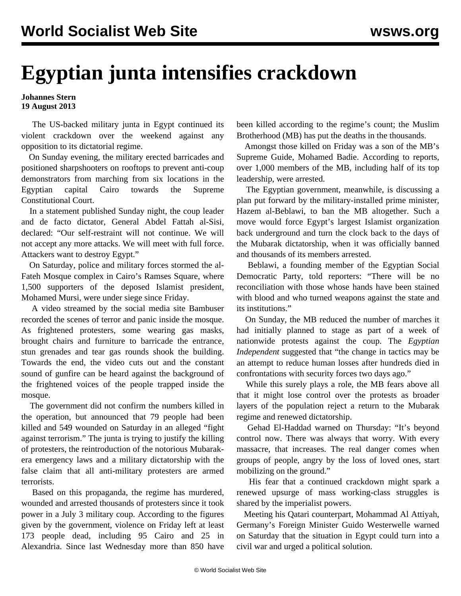## **Egyptian junta intensifies crackdown**

## **Johannes Stern 19 August 2013**

 The US-backed military junta in Egypt continued its violent crackdown over the weekend against any opposition to its dictatorial regime.

 On Sunday evening, the military erected barricades and positioned sharpshooters on rooftops to prevent anti-coup demonstrators from marching from six locations in the Egyptian capital Cairo towards the Supreme Constitutional Court.

 In a statement published Sunday night, the coup leader and de facto dictator, General Abdel Fattah al-Sisi, declared: "Our self-restraint will not continue. We will not accept any more attacks. We will meet with full force. Attackers want to destroy Egypt."

 On Saturday, police and military forces stormed the al-Fateh Mosque complex in Cairo's Ramses Square, where 1,500 supporters of the deposed Islamist president, Mohamed Mursi, were under siege since Friday.

 A [video](http://bambuser.com/v/3818783) streamed by the social media site Bambuser recorded the scenes of terror and panic inside the mosque. As frightened protesters, some wearing gas masks, brought chairs and furniture to barricade the entrance, stun grenades and tear gas rounds shook the building. Towards the end, the video cuts out and the constant sound of gunfire can be heard against the background of the frightened voices of the people trapped inside the mosque.

 The government did not confirm the numbers killed in the operation, but announced that 79 people had been killed and 549 wounded on Saturday in an alleged "fight against terrorism." The junta is trying to justify the killing of protesters, the reintroduction of the notorious Mubarakera emergency laws and a military dictatorship with the false claim that all anti-military protesters are armed terrorists.

 Based on this propaganda, the regime has murdered, wounded and arrested thousands of protesters since it took power in a July 3 military coup. According to the figures given by the government, violence on Friday left at least 173 people dead, including 95 Cairo and 25 in Alexandria. Since last Wednesday more than 850 have

been killed according to the regime's count; the Muslim Brotherhood (MB) has put the deaths in the thousands.

 Amongst those killed on Friday was a son of the MB's Supreme Guide, Mohamed Badie. According to reports, over 1,000 members of the MB, including half of its top leadership, were arrested.

 The Egyptian government, meanwhile, is discussing a plan put forward by the military-installed prime minister, Hazem al-Beblawi, to ban the MB altogether. Such a move would force Egypt's largest Islamist organization back underground and turn the clock back to the days of the Mubarak dictatorship, when it was officially banned and thousands of its members arrested.

 Beblawi, a founding member of the Egyptian Social Democratic Party, told reporters: "There will be no reconciliation with those whose hands have been stained with blood and who turned weapons against the state and its institutions."

 On Sunday, the MB reduced the number of marches it had initially planned to stage as part of a week of nationwide protests against the coup. The *Egyptian Independent* suggested that "the change in tactics may be an attempt to reduce human losses after hundreds died in confrontations with security forces two days ago."

 While this surely plays a role, the MB fears above all that it might lose control over the protests as broader layers of the population reject a return to the Mubarak regime and renewed dictatorship.

 Gehad El-Haddad warned on Thursday: "It's beyond control now. There was always that worry. With every massacre, that increases. The real danger comes when groups of people, angry by the loss of loved ones, start mobilizing on the ground."

 His fear that a continued crackdown might spark a renewed upsurge of mass working-class struggles is shared by the imperialist powers.

 Meeting his Qatari counterpart, Mohammad Al Attiyah, Germany's Foreign Minister Guido Westerwelle warned on Saturday that the situation in Egypt could turn into a civil war and urged a political solution.